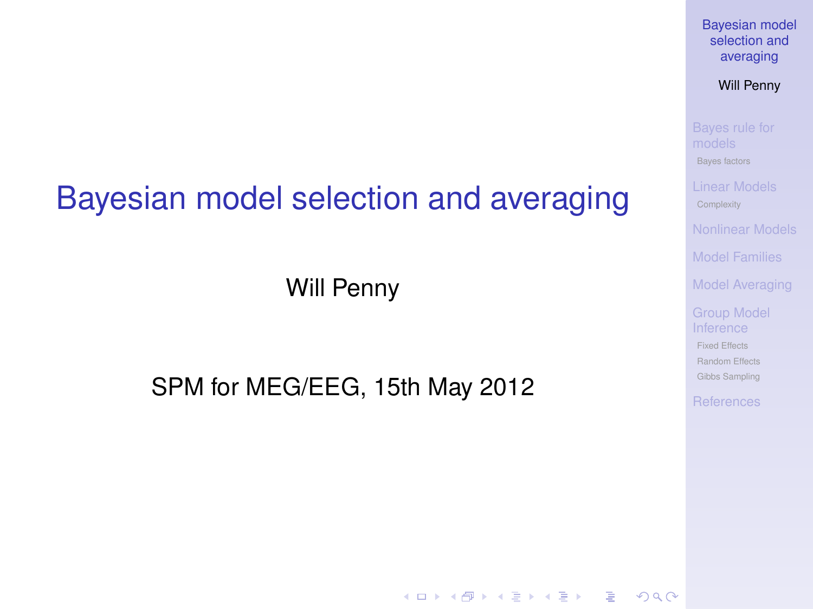### Bayesian model selection and averaging

Will Penny

#### <span id="page-0-0"></span>SPM for MEG/EEG, 15th May 2012

[Bayesian model](#page-38-0) selection and averaging

Will Penny

[Bayes factors](#page-5-0)

[Model Families](#page-18-0)

[Model Averaging](#page-22-0)

[Fixed Effects](#page-25-0) [Random Effects](#page-26-0) [Gibbs Sampling](#page-32-0)

**KORK ERKERY EL ARA**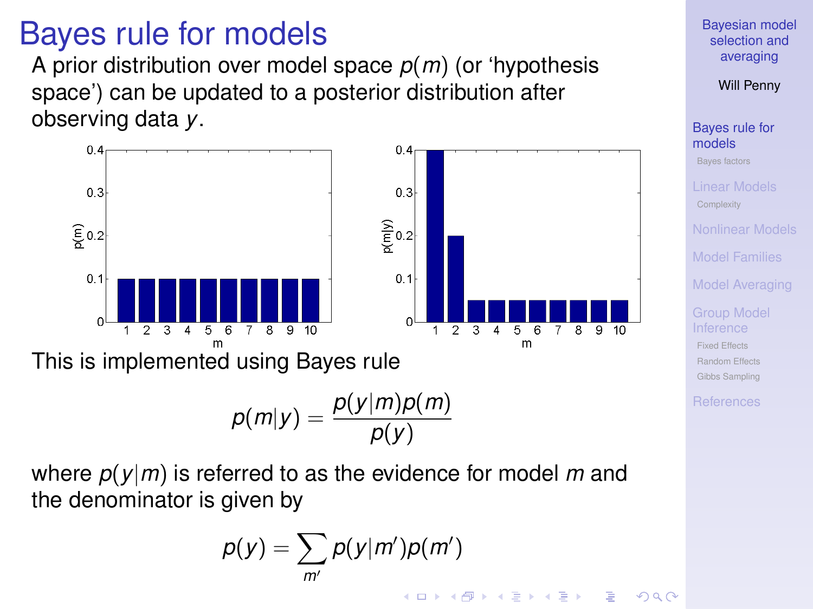### Bayes rule for models

A prior distribution over model space *p*(*m*) (or 'hypothesis space') can be updated to a posterior distribution after observing data *y*.



<span id="page-1-0"></span>where *p*(*y*|*m*) is referred to as the evidence for model *m* and the denominator is given by

$$
p(y) = \sum_{m'} p(y|m')p(m')
$$

[Bayesian model](#page-0-0) selection and averaging

Will Penny

[Bayes rule for](#page-1-0) models

[Bayes factors](#page-5-0)

[Model Families](#page-18-0)

[Model Averaging](#page-22-0)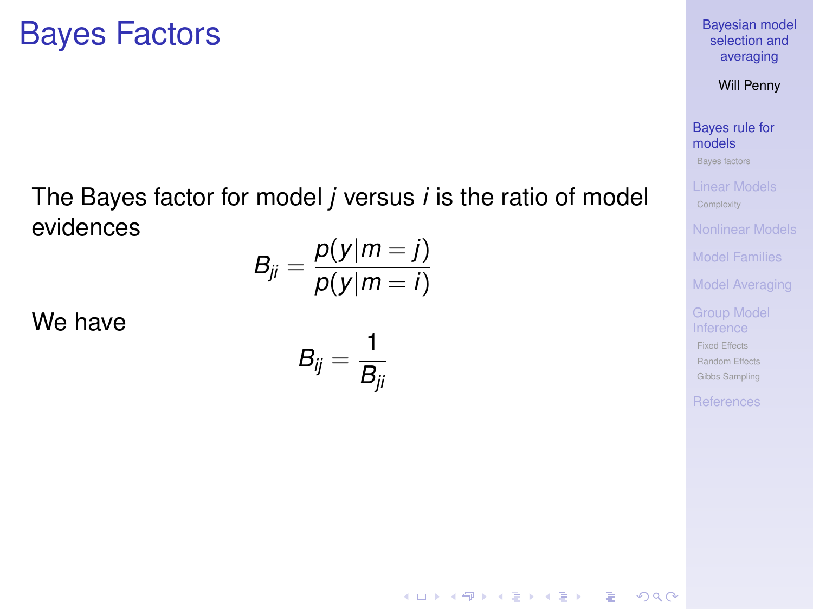## Bayes Factors

#### The Bayes factor for model *j* versus *i* is the ratio of model evidences

$$
B_{ji}=\frac{p(y|m=j)}{p(y|m=i)}
$$

We have

$$
B_{ij}=\frac{1}{B_{ji}}
$$

[Bayesian model](#page-0-0) selection and averaging

Will Penny

[Bayes rule for](#page-1-0) models

[Bayes factors](#page-5-0)

[Model Families](#page-18-0)

[Model Averaging](#page-22-0)

[Fixed Effects](#page-25-0) [Random Effects](#page-26-0) [Gibbs Sampling](#page-32-0)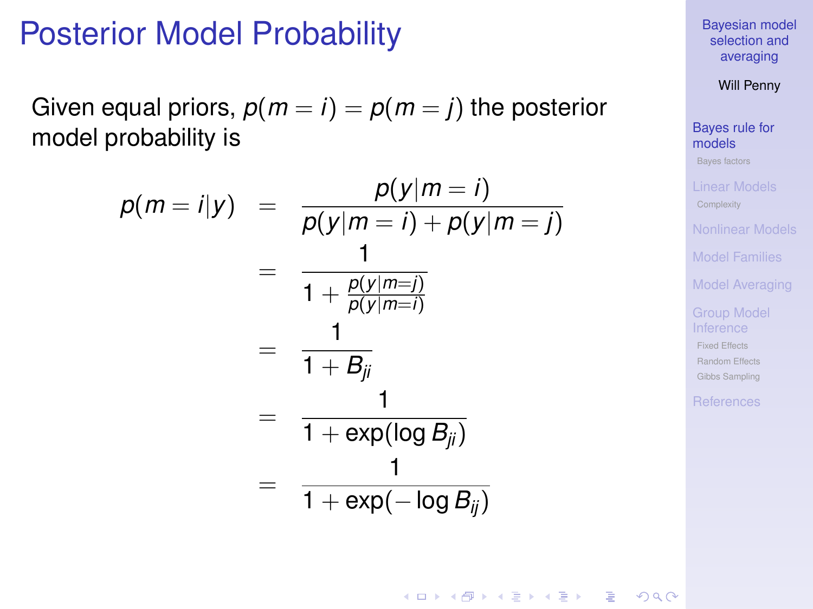### Posterior Model Probability

Given equal priors,  $p(m = i) = p(m = j)$  the posterior model probability is

$$
p(m = i | y) = \frac{p(y|m = i)}{p(y|m = i) + p(y|m = j)}
$$
  
= 
$$
\frac{1}{1 + \frac{p(y|m = j)}{p(y|m = i)}}
$$
  
= 
$$
\frac{1}{1 + B_{ji}}
$$
  
= 
$$
\frac{1}{1 + \exp(\log B_{ji})}
$$
  
= 
$$
\frac{1}{1 + \exp(-\log B_{ij})}
$$

[Bayesian model](#page-0-0) selection and averaging

Will Penny

[Bayes rule for](#page-1-0) models [Bayes factors](#page-5-0)

[Model Families](#page-18-0)

[Model Averaging](#page-22-0)

[Fixed Effects](#page-25-0) [Random Effects](#page-26-0) [Gibbs Sampling](#page-32-0)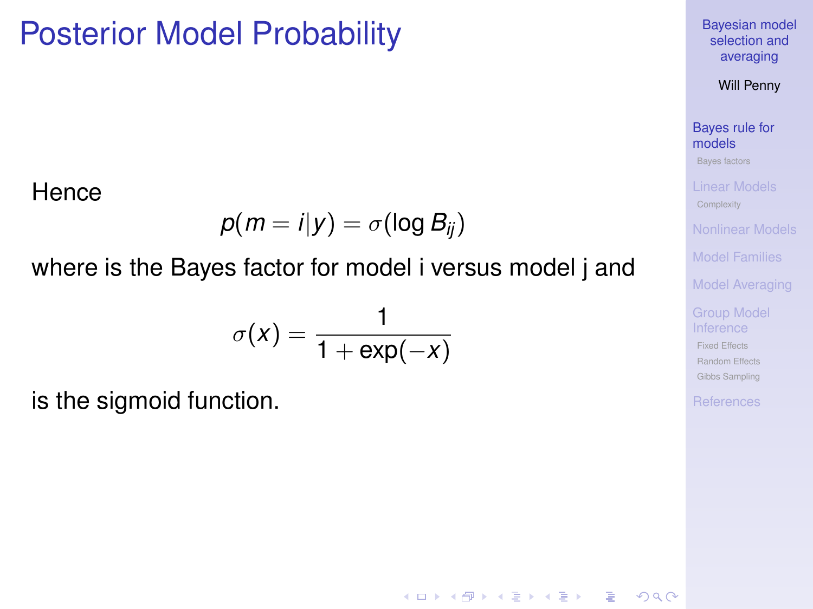## Posterior Model Probability

**Hence** 

$$
p(m = i|y) = \sigma(\log B_{ij})
$$

#### where is the Bayes factor for model i versus model j and

$$
\sigma(x) = \frac{1}{1 + \exp(-x)}
$$

is the sigmoid function.

[Bayesian model](#page-0-0) selection and averaging

Will Penny

[Bayes rule for](#page-1-0) models

[Bayes factors](#page-5-0)

[Model Families](#page-18-0)

[Model Averaging](#page-22-0)

[Fixed Effects](#page-25-0) [Random Effects](#page-26-0) [Gibbs Sampling](#page-32-0)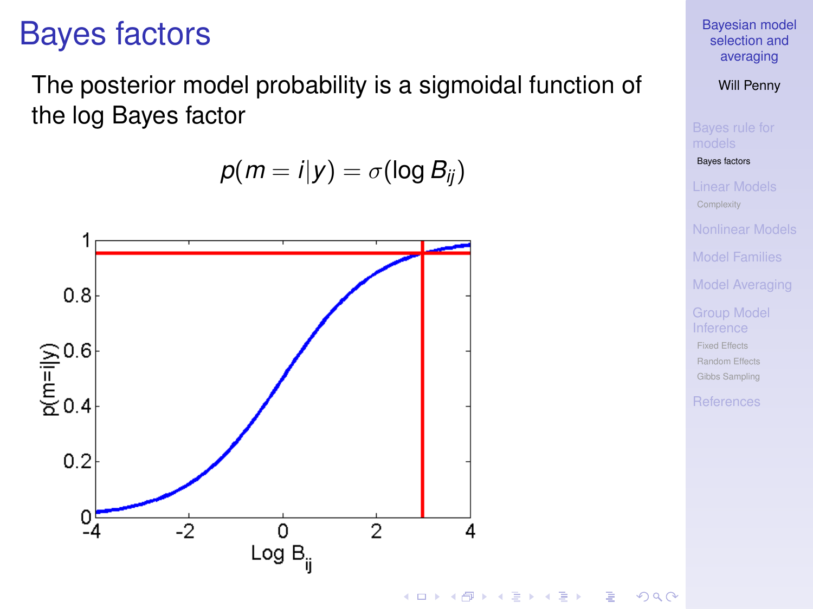## Bayes factors

The posterior model probability is a sigmoidal function of the log Bayes factor

 $p(m = i|y) = \sigma(\log B_{ii})$ 

<span id="page-5-0"></span>

[Bayesian model](#page-0-0) selection and averaging

Will Penny

[Bayes factors](#page-5-0)

[Model Families](#page-18-0)

[Model Averaging](#page-22-0)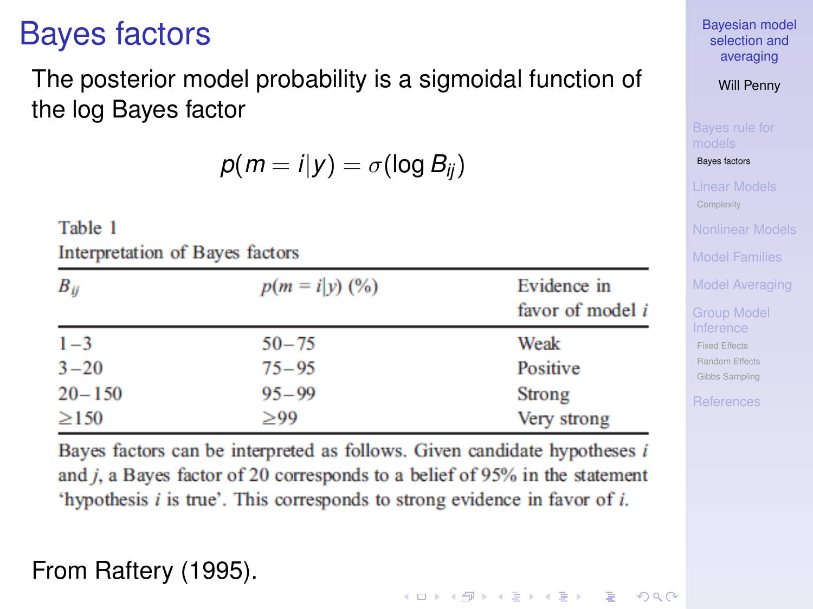# Bayes factors

#### The posterior model probability is a sigmoidal function of the log Bayes factor

 $p(m = i|y) = \sigma(\log B_{ii})$ 

Table 1

Interpretation of Bayes factors

| $B_{ii}$   | $p(m = i \gamma)$ (%) | Evidence in<br>favor of model i |
|------------|-----------------------|---------------------------------|
| $1 - 3$    | $50 - 75$             | Weak                            |
| $3 - 20$   | $75 - 95$             | Positive                        |
| $20 - 150$ | $95 - 99$             | Strong                          |
| $\geq$ 150 | $\geq 99$             | Very strong                     |

Bayes factors can be interpreted as follows. Given candidate hypotheses  $i$ and  $j$ , a Bayes factor of 20 corresponds to a belief of 95% in the statement 'hypothesis  $i$  is true'. This corresponds to strong evidence in favor of  $i$ .

#### From Raftery (1995).

[Bayesian model](#page-0-0) selection and averaging

Will Penny

[Bayes factors](#page-5-0)

[Model Families](#page-18-0)

[Model Averaging](#page-22-0)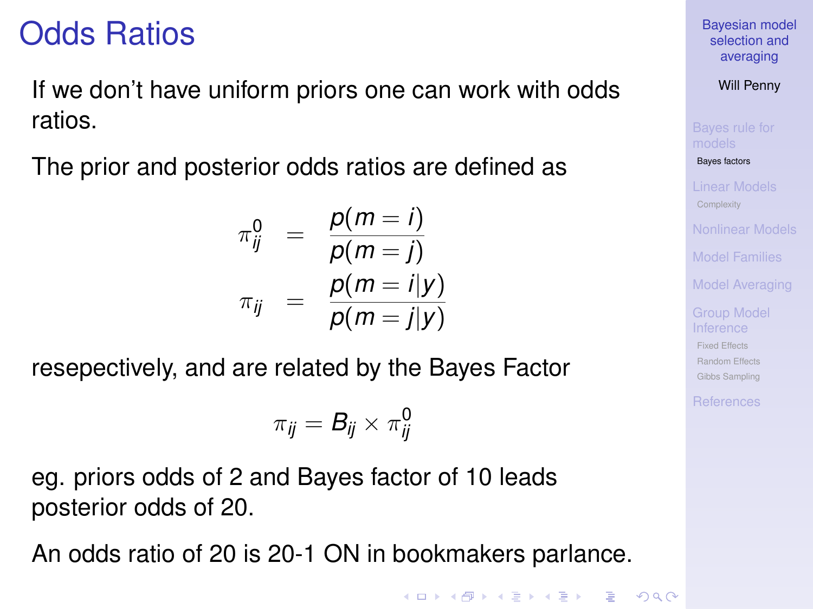# Odds Ratios

If we don't have uniform priors one can work with odds ratios.

The prior and posterior odds ratios are defined as

$$
\pi_{ij}^0 = \frac{p(m=i)}{p(m=j)}
$$
  

$$
\pi_{ij} = \frac{p(m=i|y)}{p(m=j|y)}
$$

resepectively, and are related by the Bayes Factor

$$
\pi_{ij} = \pmb{B}_{ij} \times \pi_{ij}^{\pmb{0}}
$$

eg. priors odds of 2 and Bayes factor of 10 leads posterior odds of 20.

An odds ratio of 20 is 20-1 ON in bookmakers parlance.

**KORK ERKERY EL ARA** 

[Bayesian model](#page-0-0) selection and averaging

Will Penny

[Bayes factors](#page-5-0)

[Model Families](#page-18-0)

[Model Averaging](#page-22-0)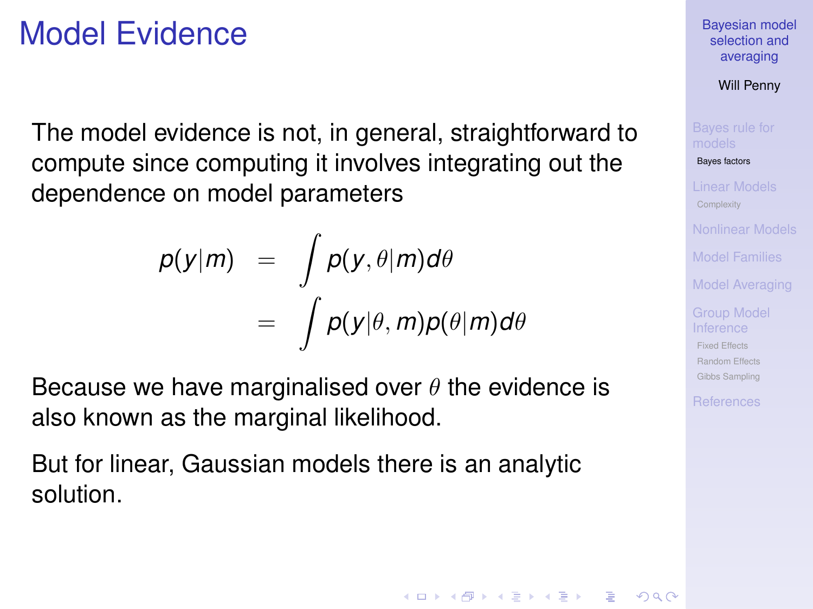# Model Evidence

The model evidence is not, in general, straightforward to compute since computing it involves integrating out the dependence on model parameters

$$
p(y|m) = \int p(y, \theta|m) d\theta
$$
  
= 
$$
\int p(y|\theta, m)p(\theta|m) d\theta
$$

Because we have marginalised over  $\theta$  the evidence is also known as the marginal likelihood.

But for linear, Gaussian models there is an analytic solution.

[Bayesian model](#page-0-0) selection and averaging

Will Penny

[Bayes factors](#page-5-0)

[Model Families](#page-18-0)

[Model Averaging](#page-22-0)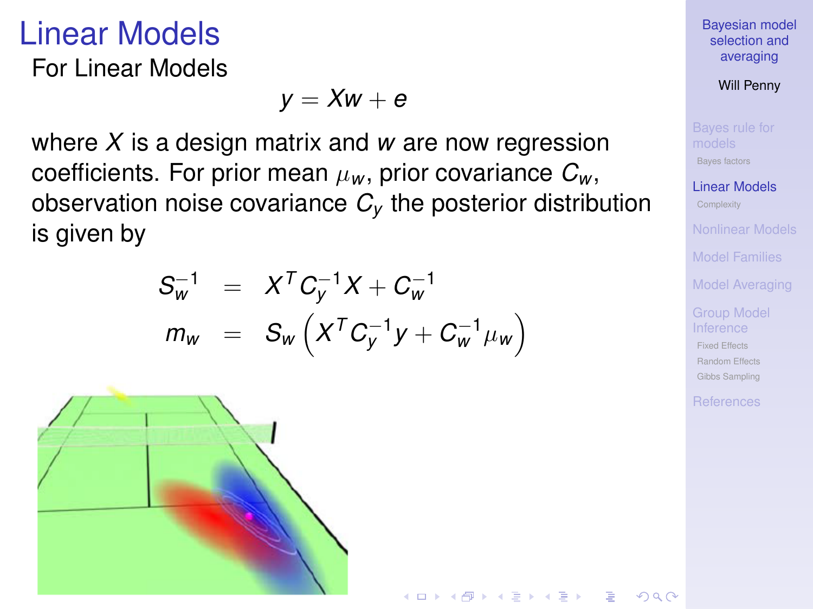### Linear Models

For Linear Models

$$
y = Xw + e
$$

where *X* is a design matrix and *w* are now regression coefficients. For prior mean  $\mu_w$ , prior covariance  $C_w$ , observation noise covariance *C<sup>y</sup>* the posterior distribution is given by

$$
S_{w}^{-1} = X^{T} C_{y}^{-1} X + C_{w}^{-1}
$$
  
\n
$$
m_{w} = S_{w} \left( X^{T} C_{y}^{-1} y + C_{w}^{-1} \mu_{w} \right)
$$

イロメイタメイをメイをメーをし

<span id="page-9-0"></span>

[Bayesian model](#page-0-0) selection and averaging

Will Penny

[Bayes factors](#page-5-0)

[Linear Models](#page-9-0)

[Model Families](#page-18-0)

[Model Averaging](#page-22-0)

[Fixed Effects](#page-25-0) [Random Effects](#page-26-0) [Gibbs Sampling](#page-32-0)

 $2990$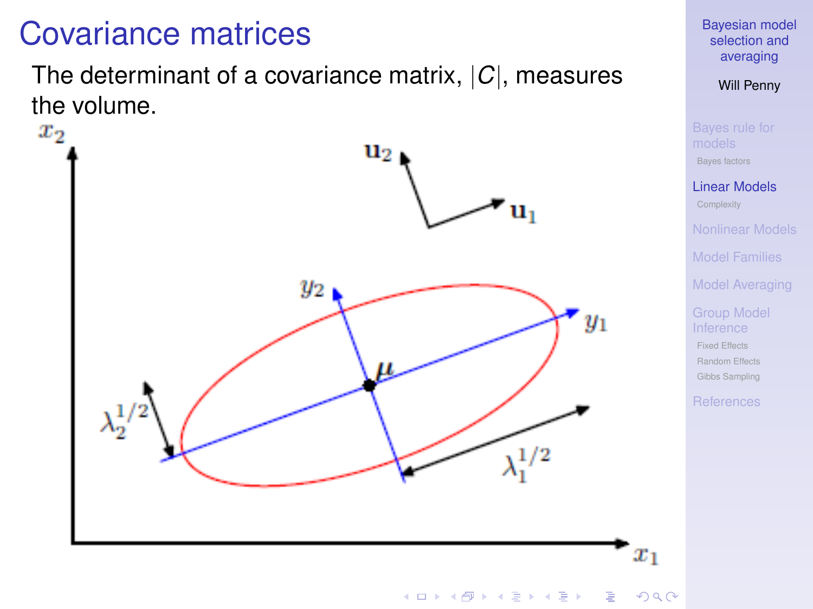# Covariance matrices

The determinant of a covariance matrix, |*C*|, measures the volume.<br> $x_2$ 



#### [Bayesian model](#page-0-0) selection and averaging

Will Penny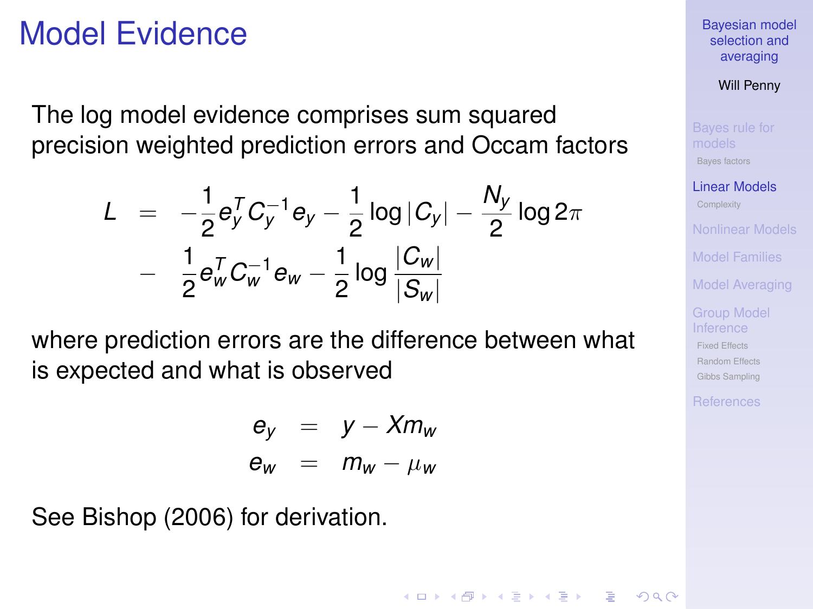### Model Evidence

The log model evidence comprises sum squared precision weighted prediction errors and Occam factors

$$
L = -\frac{1}{2} e_y^T C_y^{-1} e_y - \frac{1}{2} \log |C_y| - \frac{N_y}{2} \log 2\pi
$$
  
- 
$$
\frac{1}{2} e_w^T C_w^{-1} e_w - \frac{1}{2} \log \frac{|C_w|}{|S_w|}
$$

where prediction errors are the difference between what is expected and what is observed

$$
\begin{array}{rcl}\n\mathbf{e}_y & = & y - \mathbf{X} m_w \\
\mathbf{e}_w & = & m_w - \mu_w\n\end{array}
$$

See Bishop (2006) for derivation.

[Bayesian model](#page-0-0) selection and averaging

Will Penny

[Bayes factors](#page-5-0)

[Linear Models](#page-9-0)

[Model Families](#page-18-0)

[Model Averaging](#page-22-0)

[Fixed Effects](#page-25-0) [Random Effects](#page-26-0) [Gibbs Sampling](#page-32-0)

**KORK ERKERY EL ARA**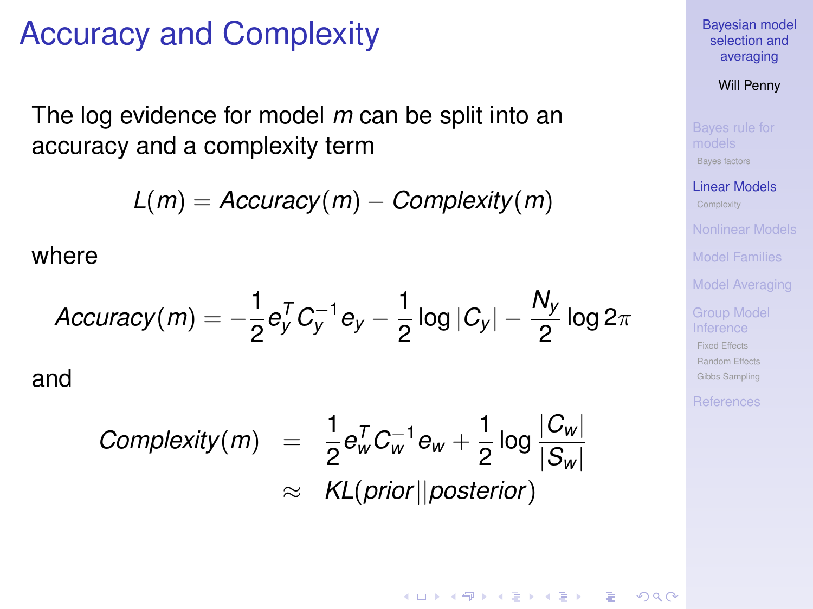## Accuracy and Complexity

The log evidence for model *m* can be split into an accuracy and a complexity term

*L*(*m*) = *Accuracy*(*m*) − *Complexity*(*m*)

where

$$
Accuracy(m) = -\frac{1}{2}e_y^T C_y^{-1}e_y - \frac{1}{2}\log|C_y| - \frac{N_y}{2}\log 2\pi
$$

and

$$
Complexity(m) = \frac{1}{2}e_w^T C_w^{-1}e_w + \frac{1}{2}\log\frac{|C_w|}{|S_w|}
$$
  
\n
$$
\approx KL(prior||posterior)
$$

[Bayesian model](#page-0-0) selection and averaging

Will Penny

[Bayes factors](#page-5-0)

[Linear Models](#page-9-0)

[Model Families](#page-18-0)

[Model Averaging](#page-22-0)

[Fixed Effects](#page-25-0) [Random Effects](#page-26-0) [Gibbs Sampling](#page-32-0)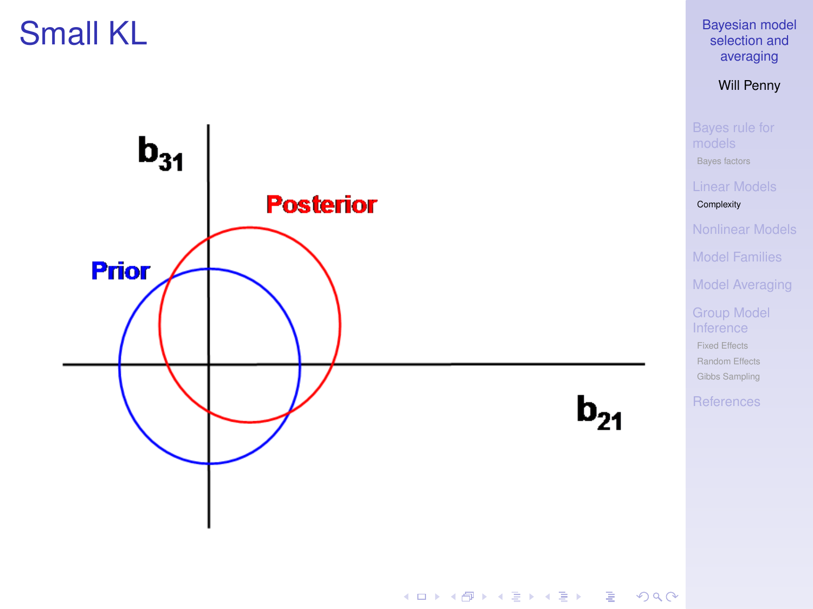# Small KL

<span id="page-13-0"></span>

[Bayesian model](#page-0-0) selection and averaging

Will Penny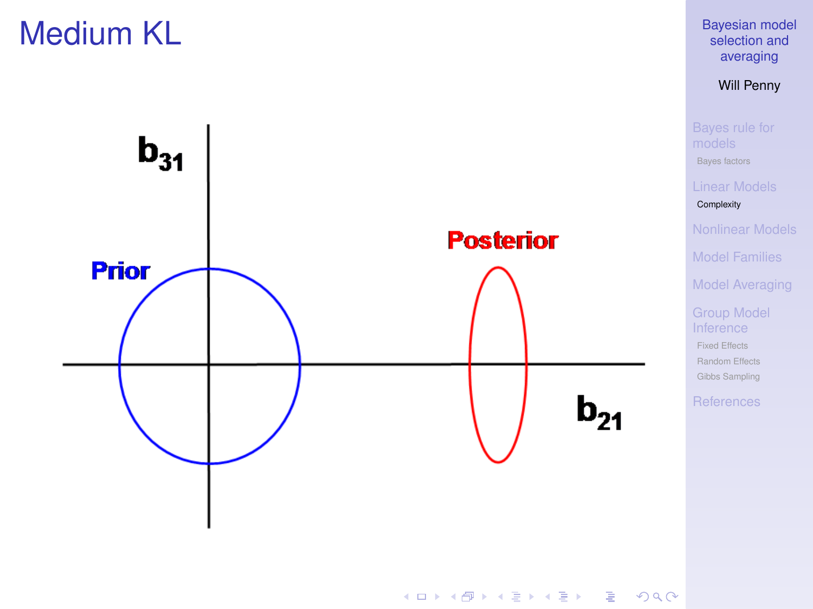# Medium KL



[Bayesian model](#page-0-0) selection and averaging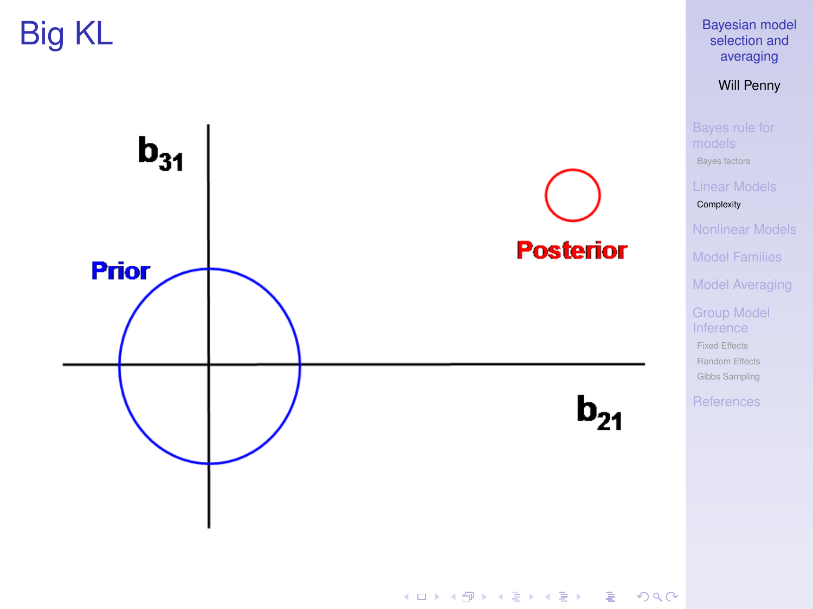Big KL



[Bayesian model](#page-0-0) selection and averaging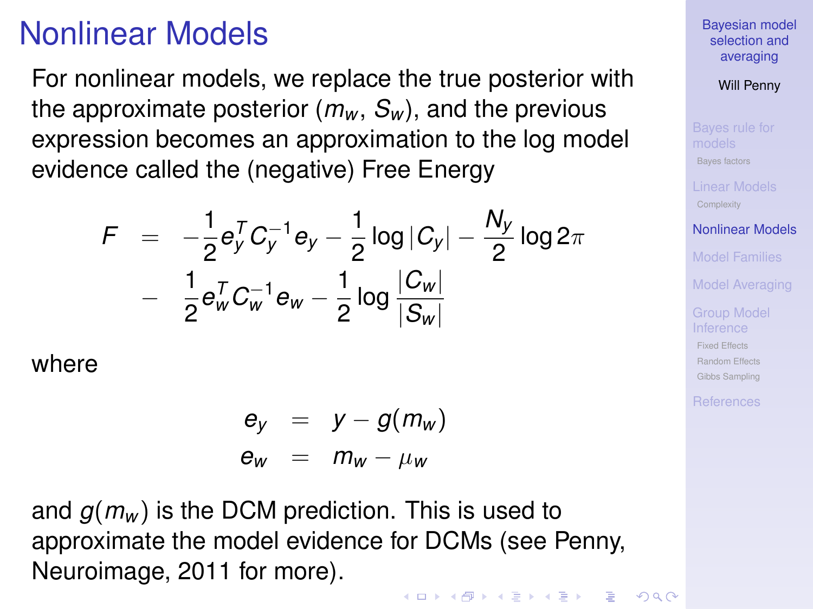# Nonlinear Models

For nonlinear models, we replace the true posterior with the approximate posterior  $(m_w, S_w)$ , and the previous expression becomes an approximation to the log model evidence called the (negative) Free Energy

$$
F = -\frac{1}{2} e_y^T C_y^{-1} e_y - \frac{1}{2} \log |C_y| - \frac{N_y}{2} \log 2\pi
$$
  
- 
$$
\frac{1}{2} e_w^T C_w^{-1} e_w - \frac{1}{2} \log \frac{|C_w|}{|S_w|}
$$

where

$$
\begin{array}{rcl}\n\mathbf{e}_y & = & y - g(m_w) \\
\mathbf{e}_w & = & m_w - \mu_w\n\end{array}
$$

<span id="page-16-0"></span>and *g*(*m<sup>w</sup>* ) is the DCM prediction. This is used to approximate the model evidence for DCMs (see Penny, Neuroimage, 2011 for more).

**KORK ERKERY EL ARA** 

[Bayesian model](#page-0-0) selection and averaging

Will Penny

[Bayes factors](#page-5-0)

[Nonlinear Models](#page-16-0)

[Model Families](#page-18-0)

[Model Averaging](#page-22-0)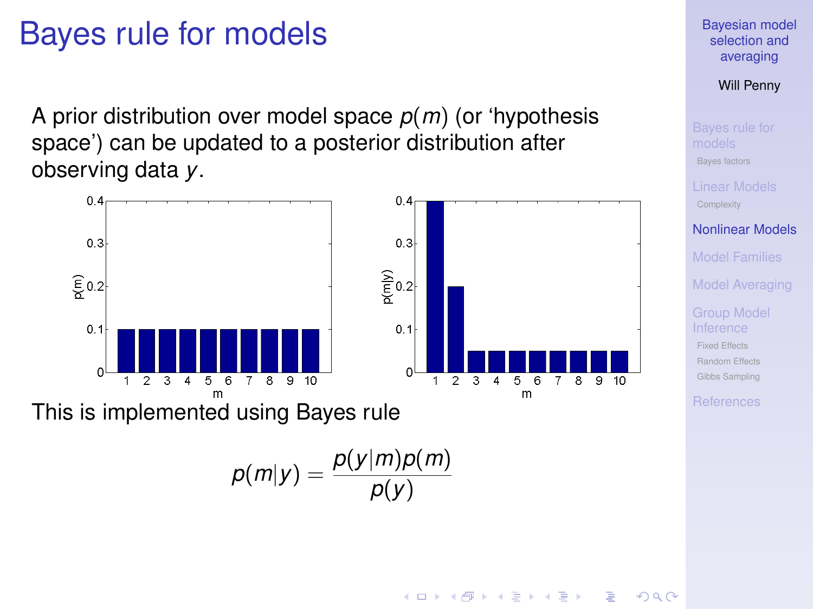### Bayes rule for models

A prior distribution over model space *p*(*m*) (or 'hypothesis space') can be updated to a posterior distribution after observing data *y*.



This is implemented using Bayes rule

$$
p(m|y) = \frac{p(y|m)p(m)}{p(y)}
$$

[Bayesian model](#page-0-0) selection and averaging

Will Penny

[Bayes factors](#page-5-0)

[Nonlinear Models](#page-16-0)

[Model Families](#page-18-0)

[Model Averaging](#page-22-0)

[Fixed Effects](#page-25-0) [Random Effects](#page-26-0) [Gibbs Sampling](#page-32-0)

**◆ロト→何ト→ →ヨト→ヨト**  $2990$  $\equiv$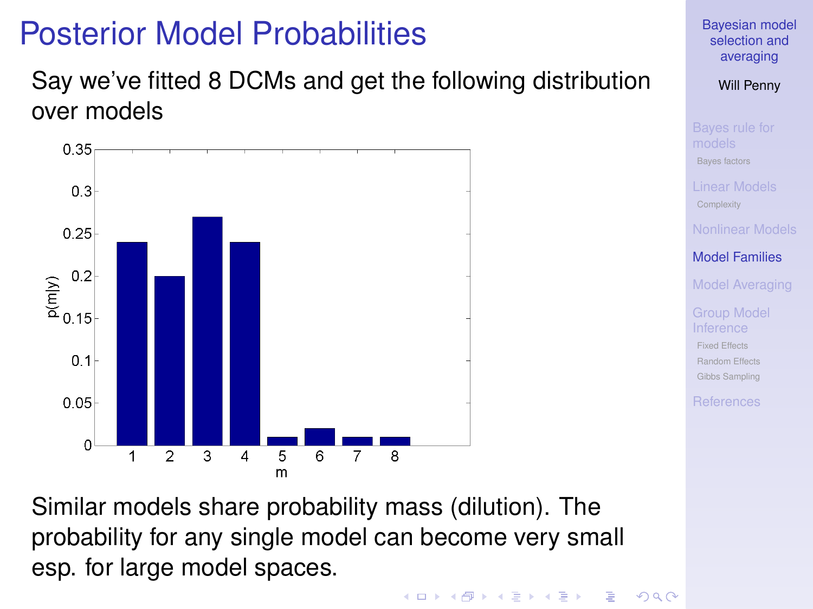# Posterior Model Probabilities

#### Say we've fitted 8 DCMs and get the following distribution over models



[Bayesian model](#page-0-0) selection and averaging

Will Penny

[Bayes factors](#page-5-0)

[Model Families](#page-18-0)

[Model Averaging](#page-22-0)

[Fixed Effects](#page-25-0) [Random Effects](#page-26-0) [Gibbs Sampling](#page-32-0)

<span id="page-18-0"></span>Similar models share probability mass (dilution). The probability for any single model can become very small esp. for large model spaces.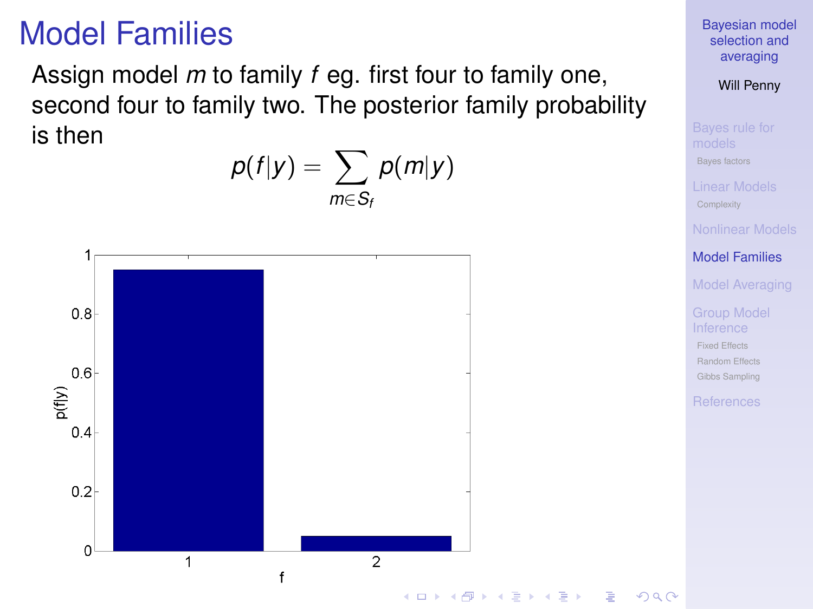# Model Families

Assign model *m* to family *f* eg. first four to family one, second four to family two. The posterior family probability is then



[Bayesian model](#page-0-0) selection and averaging

Will Penny

[Bayes factors](#page-5-0)

[Model Families](#page-18-0)

[Model Averaging](#page-22-0)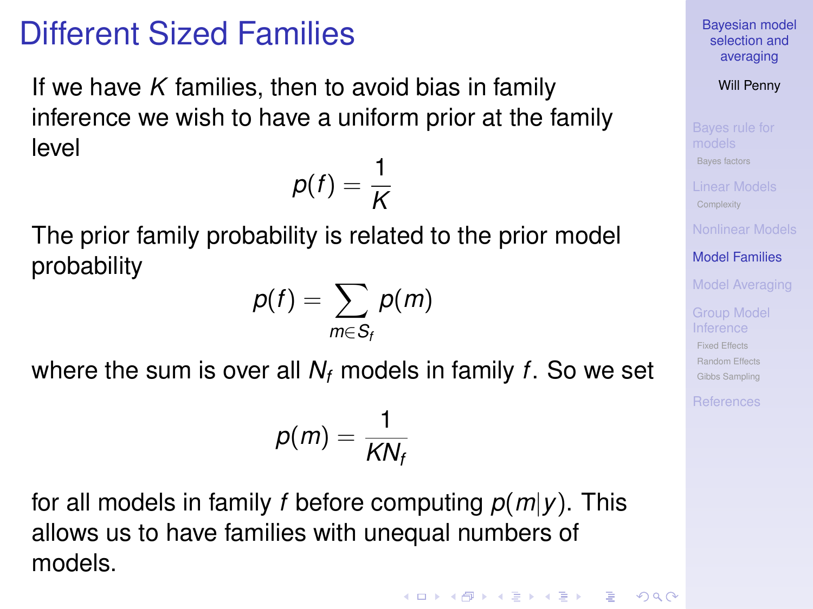# Different Sized Families

If we have *K* families, then to avoid bias in family inference we wish to have a uniform prior at the family level

$$
p(f) = \frac{1}{K}
$$

The prior family probability is related to the prior model probability

$$
p(f) = \sum_{m \in S_f} p(m)
$$

where the sum is over all *N<sup>f</sup>* models in family *f*. So we set

$$
p(m)=\frac{1}{KN_f}
$$

for all models in family *f* before computing *p*(*m*|*y*). This allows us to have families with unequal numbers of models.

[Bayesian model](#page-0-0) selection and averaging

Will Penny

[Bayes factors](#page-5-0)

[Model Families](#page-18-0)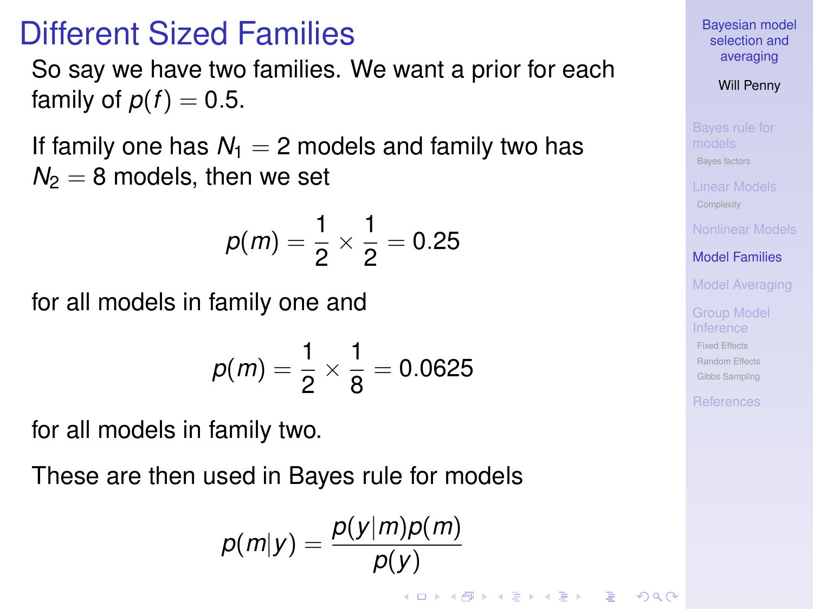### Different Sized Families

So say we have two families. We want a prior for each family of  $p(f) = 0.5$ .

If family one has  $N_1 = 2$  models and family two has  $N_2 = 8$  models, then we set

$$
p(m) = \frac{1}{2} \times \frac{1}{2} = 0.25
$$

for all models in family one and

$$
p(m) = \frac{1}{2} \times \frac{1}{8} = 0.0625
$$

for all models in family two.

These are then used in Bayes rule for models

$$
p(m|y) = \frac{p(y|m)p(m)}{p(y)}
$$

**KORKA EX KEY YOUR** 

[Bayesian model](#page-0-0) selection and averaging

Will Penny

[Bayes factors](#page-5-0)

[Model Families](#page-18-0)

[Model Averaging](#page-22-0)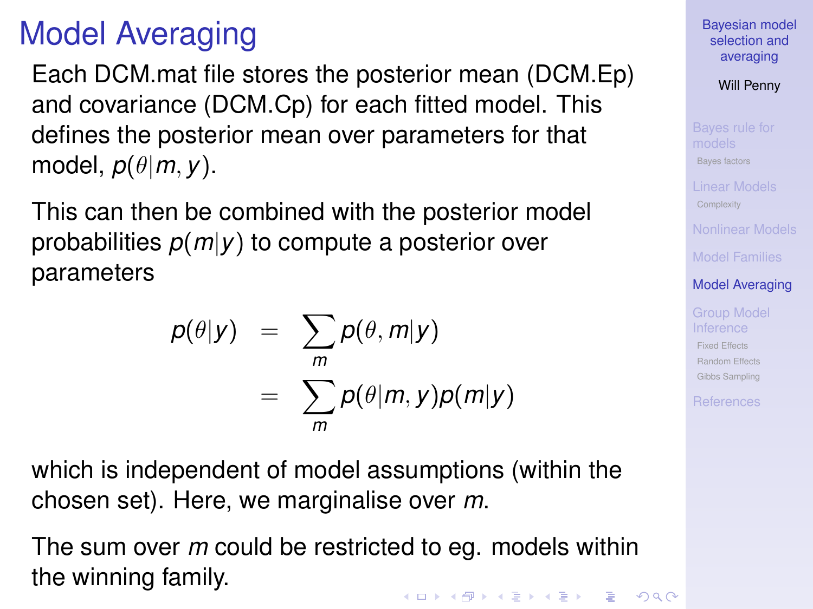# Model Averaging

Each DCM.mat file stores the posterior mean (DCM.Ep) and covariance (DCM.Cp) for each fitted model. This defines the posterior mean over parameters for that model, *p*(θ|*m*, *y*).

This can then be combined with the posterior model probabilities *p*(*m*|*y*) to compute a posterior over parameters

$$
p(\theta|y) = \sum_{m} p(\theta, m|y)
$$
  
= 
$$
\sum_{m} p(\theta|m, y)p(m|y)
$$

which is independent of model assumptions (within the chosen set). Here, we marginalise over *m*.

<span id="page-22-0"></span>The sum over *m* could be restricted to eg. models within the winning family.**KORKA EX KEY YOUR**  [Bayesian model](#page-0-0) selection and averaging

Will Penny

[Bayes factors](#page-5-0)

[Model Families](#page-18-0)

[Model Averaging](#page-22-0)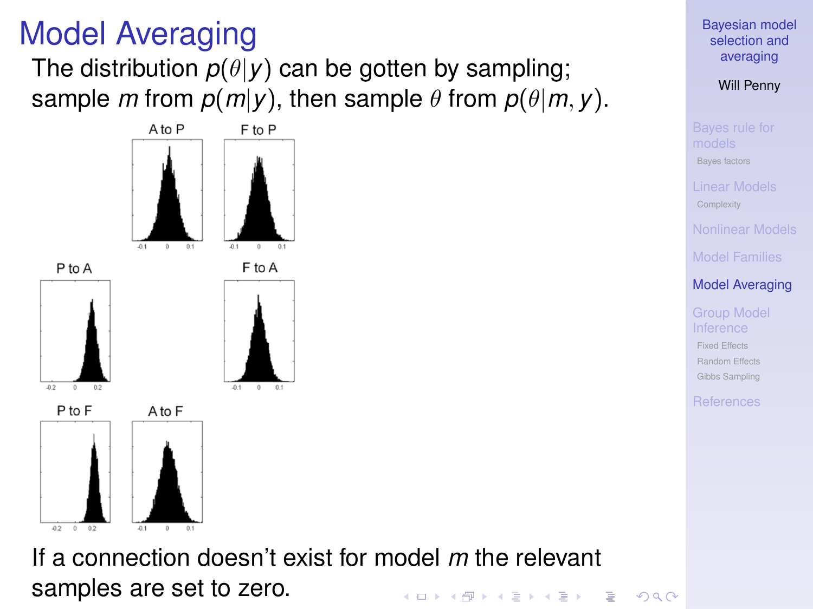# Model Averaging

The distribution  $p(\theta|y)$  can be gotten by sampling; sample *m* from  $p(m|y)$ , then sample  $\theta$  from  $p(\theta|m, y)$ .



If a connection doesn't exist for model *m* the relevant samples are set to zero.**KORK ERKERY EL ARA**  [Bayesian model](#page-0-0) selection and averaging

Will Penny

[Bayes factors](#page-5-0)

[Model Families](#page-18-0)

[Model Averaging](#page-22-0)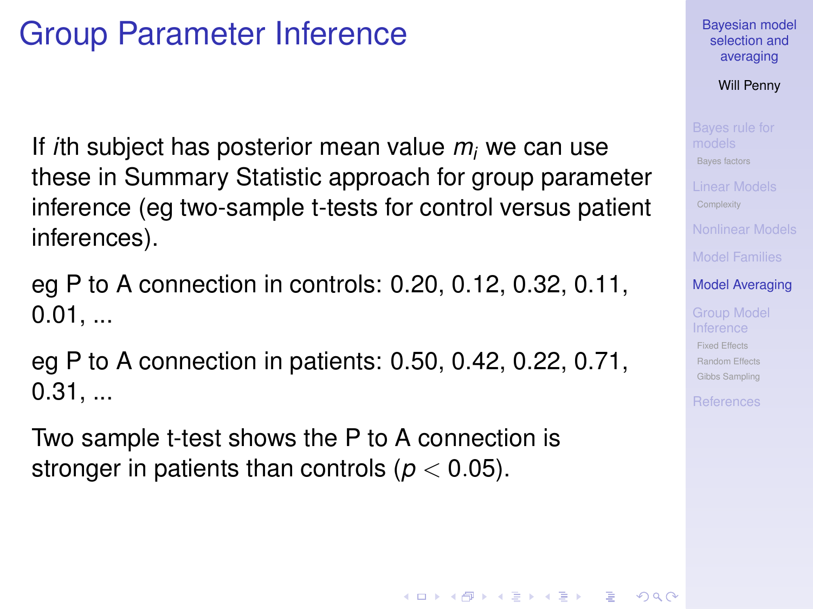# Group Parameter Inference

If *i*th subject has posterior mean value *m<sup>i</sup>* we can use these in Summary Statistic approach for group parameter inference (eg two-sample t-tests for control versus patient inferences).

eg P to A connection in controls: 0.20, 0.12, 0.32, 0.11,  $0.01, ...$ 

eg P to A connection in patients: 0.50, 0.42, 0.22, 0.71, 0.31, ...

<span id="page-24-0"></span>Two sample t-test shows the P to A connection is stronger in patients than controls ( $p < 0.05$ ).

#### [Bayesian model](#page-0-0) selection and averaging

Will Penny

[Bayes factors](#page-5-0)

[Model Families](#page-18-0)

#### [Model Averaging](#page-22-0)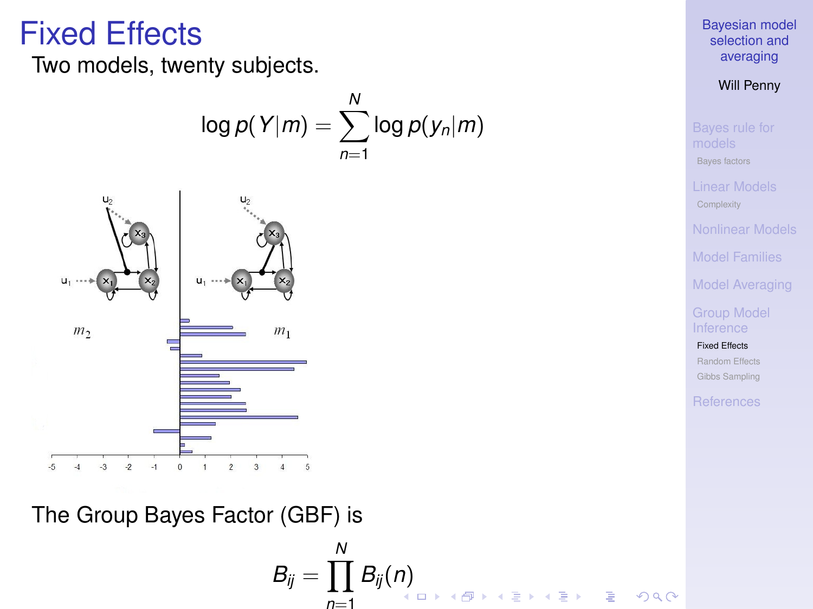#### Fixed Effects

Two models, twenty subjects.

$$
\log p(Y|m) = \sum_{n=1}^{N} \log p(y_n|m)
$$



<span id="page-25-0"></span>The Group Bayes Factor (GBF) is

$$
B_{ij} = \prod_{n=1}^N B_{ij}(n)
$$

[Bayesian model](#page-0-0) selection and averaging

Will Penny

[Bayes factors](#page-5-0)

[Model Families](#page-18-0)

[Model Averaging](#page-22-0)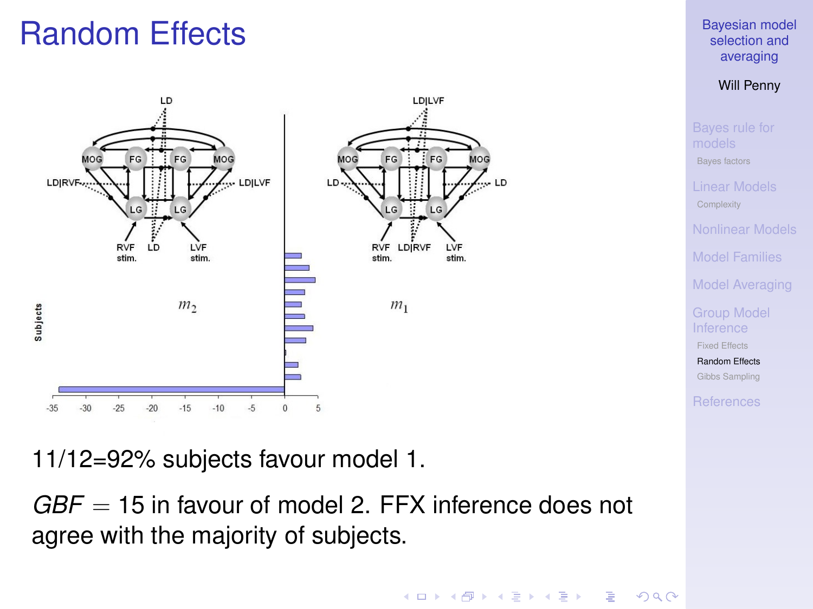# Random Effects



11/12=92% subjects favour model 1.

<span id="page-26-0"></span>*GBF* = 15 in favour of model 2. FFX inference does not agree with the majority of subjects.

#### [Bayesian model](#page-0-0) selection and averaging

Will Penny

[Bayes factors](#page-5-0) [Model Families](#page-18-0) [Model Averaging](#page-22-0) [Fixed Effects](#page-25-0) [Random Effects](#page-26-0) [Gibbs Sampling](#page-32-0)

**KORK ERKERY EL ARA**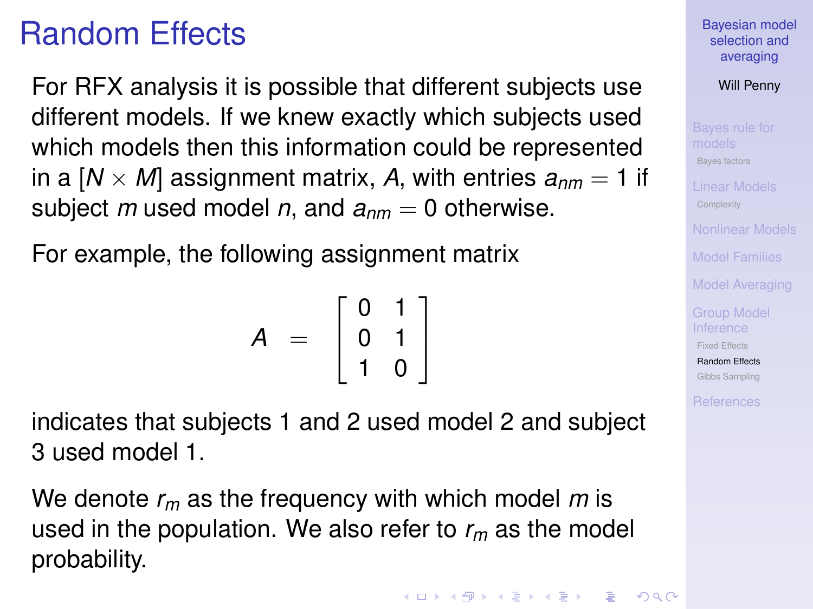# Random Effects

For RFX analysis it is possible that different subjects use different models. If we knew exactly which subjects used which models then this information could be represented in a  $[N \times M]$  assignment matrix, A, with entries  $a_{nm} = 1$  if subject *m* used model *n*, and  $a_{nm} = 0$  otherwise.

For example, the following assignment matrix

$$
A = \left[\begin{array}{cc} 0 & 1 \\ 0 & 1 \\ 1 & 0 \end{array}\right]
$$

indicates that subjects 1 and 2 used model 2 and subject 3 used model 1.

We denote *r<sup>m</sup>* as the frequency with which model *m* is used in the population. We also refer to *r<sup>m</sup>* as the model probability.

[Bayesian model](#page-0-0) selection and averaging

Will Penny

[Bayes factors](#page-5-0)

[Model Families](#page-18-0)

[Model Averaging](#page-22-0)

[Fixed Effects](#page-25-0)

[Random Effects](#page-26-0) [Gibbs Sampling](#page-32-0)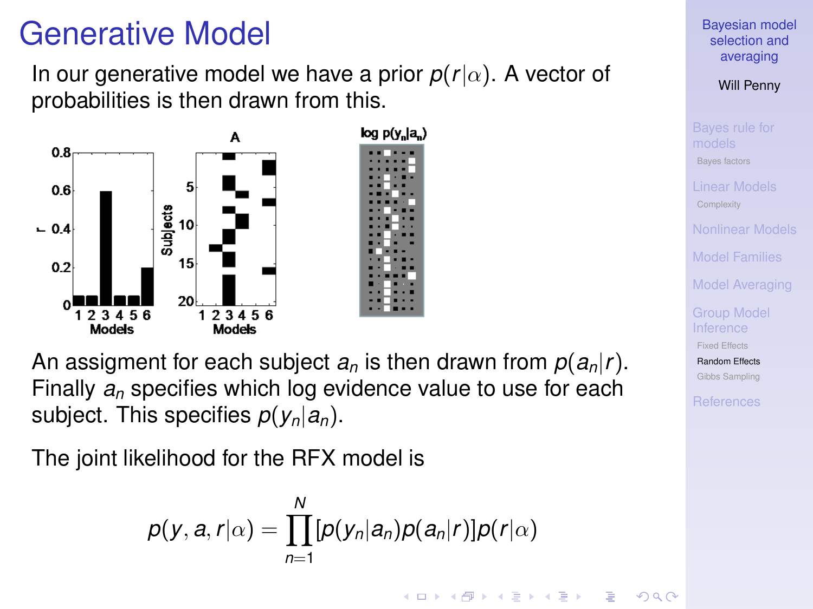# Generative Model

In our generative model we have a prior  $p(r|\alpha)$ . A vector of probabilities is then drawn from this.



An assigment for each subject  $a_n$  is then drawn from  $p(a_n|r)$ . Finally *a<sup>n</sup>* specifies which log evidence value to use for each subject. This specifies *p*(*yn*|*an*).

The joint likelihood for the RFX model is

$$
p(y, a, r | \alpha) = \prod_{n=1}^{N} [p(y_n | a_n) p(a_n | r)] p(r | \alpha)
$$

[Bayesian model](#page-0-0) selection and averaging

Will Penny

[Bayes factors](#page-5-0)

[Model Families](#page-18-0)

[Model Averaging](#page-22-0)

[Fixed Effects](#page-25-0)

[Random Effects](#page-26-0) [Gibbs Sampling](#page-32-0)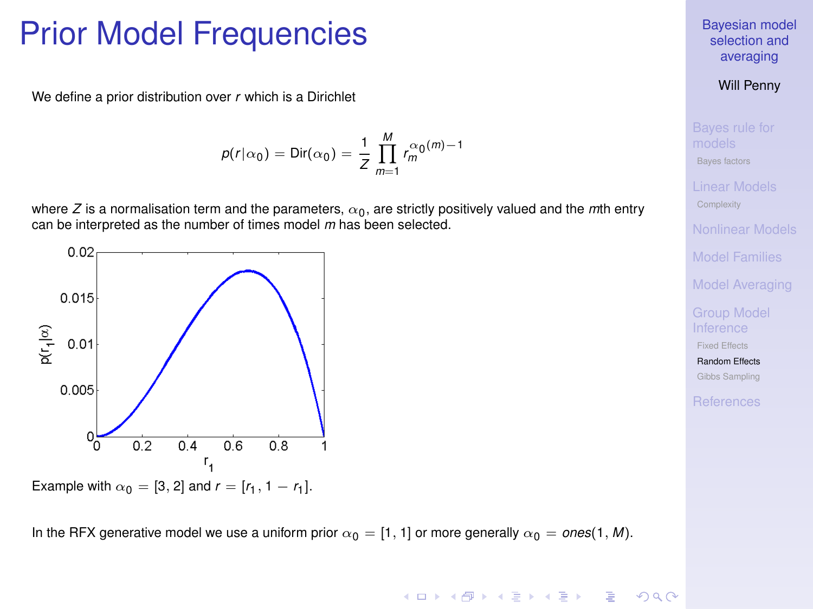### Prior Model Frequencies

We define a prior distribution over *r* which is a Dirichlet

$$
p(r|\alpha_0) = \text{Dir}(\alpha_0) = \frac{1}{Z} \prod_{m=1}^{M} r_m^{\alpha_0(m)-1}
$$

where *Z* is a normalisation term and the parameters,  $\alpha_0$ , are strictly positively valued and the *m*th entry can be interpreted as the number of times model *m* has been selected.



Example with  $\alpha_0 = [3, 2]$  and  $r = [r_1, 1 - r_1]$ .

In the RFX generative model we use a uniform prior  $\alpha_0 = [1, 1]$  or more generally  $\alpha_0 = \text{ones}(1, M)$ .

#### [Bayesian model](#page-0-0) selection and averaging

#### Will Penny

[Bayes factors](#page-5-0)

[Model Families](#page-18-0)

[Model Averaging](#page-22-0)

[Fixed Effects](#page-25-0)

[Random Effects](#page-26-0) [Gibbs Sampling](#page-32-0)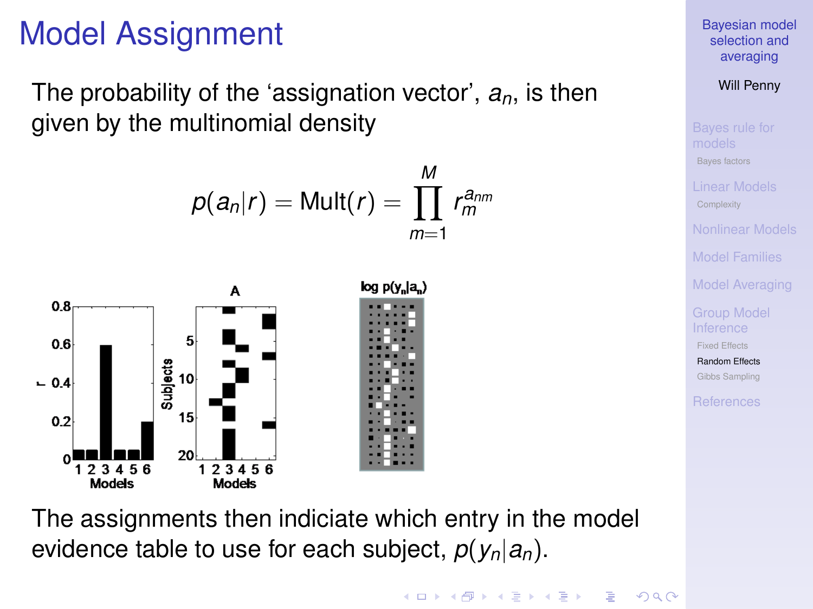# Model Assignment

The probability of the 'assignation vector', *an*, is then given by the multinomial density



The assignments then indiciate which entry in the model evidence table to use for each subject,  $p(y_n|a_n)$ .

[Bayesian model](#page-0-0) selection and averaging

Will Penny

[Bayes factors](#page-5-0) [Model Families](#page-18-0) [Model Averaging](#page-22-0)

[Fixed Effects](#page-25-0)

[Random Effects](#page-26-0) [Gibbs Sampling](#page-32-0)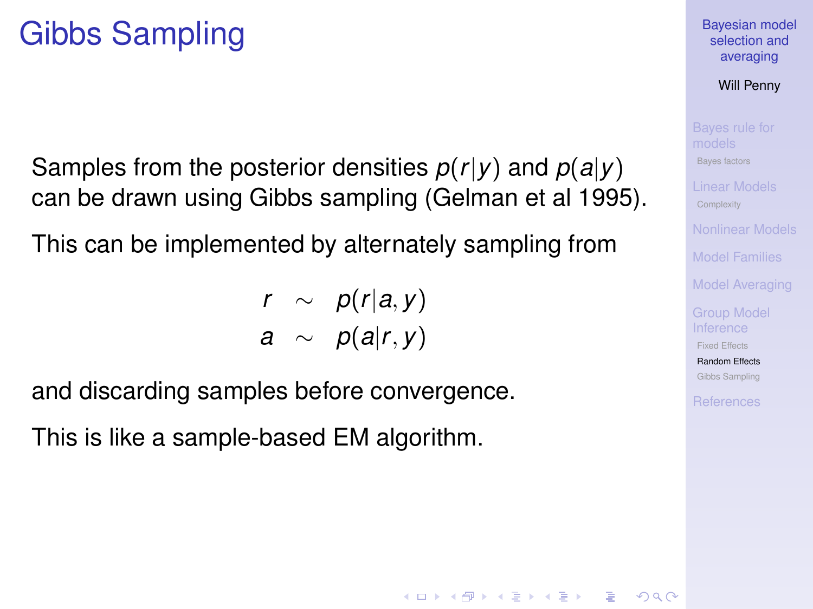Samples from the posterior densities *p*(*r*|*y*) and *p*(*a*|*y*) can be drawn using Gibbs sampling (Gelman et al 1995).

This can be implemented by alternately sampling from

$$
\begin{array}{rcl} r & \sim & p(r|a,y) \\ a & \sim & p(a|r,y) \end{array}
$$

and discarding samples before convergence.

<span id="page-31-0"></span>This is like a sample-based EM algorithm.

[Bayesian model](#page-0-0) selection and averaging

Will Penny

[Bayes factors](#page-5-0)

[Model Families](#page-18-0)

[Fixed Effects](#page-25-0)

[Random Effects](#page-26-0) [Gibbs Sampling](#page-32-0)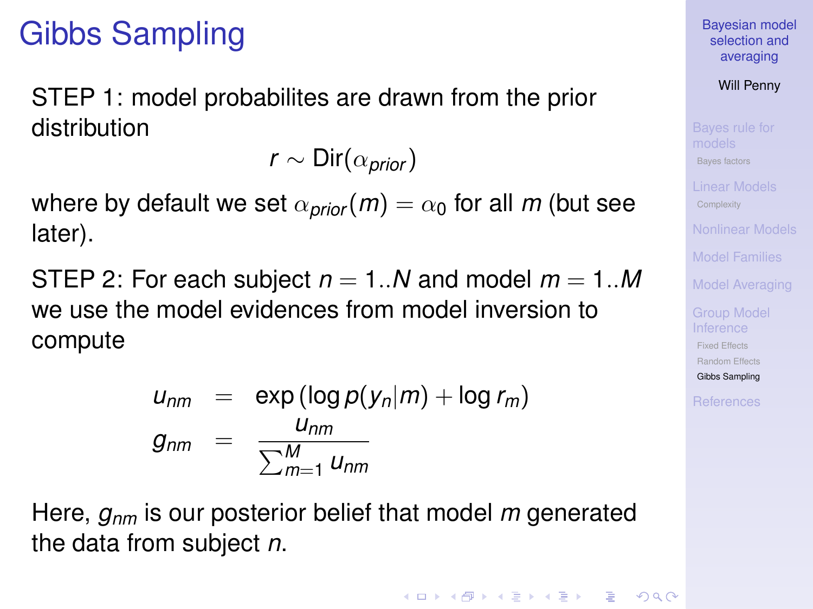STEP 1: model probabilites are drawn from the prior distribution

*r* ∼ Dir( $\alpha_{prior}$ )

where by default we set  $\alpha_{prior}(m) = \alpha_0$  for all *m* (but see later).

STEP 2: For each subject  $n = 1..N$  and model  $m = 1..M$ we use the model evidences from model inversion to compute

$$
u_{nm} = \exp(\log p(y_n|m) + \log r_m)
$$
  
\n
$$
g_{nm} = \frac{u_{nm}}{\sum_{m=1}^{M} u_{nm}}
$$

<span id="page-32-0"></span>Here, *gnm* is our posterior belief that model *m* generated the data from subject *n*.

[Bayesian model](#page-0-0) selection and averaging

Will Penny

[Bayes factors](#page-5-0)

[Model Families](#page-18-0)

[Model Averaging](#page-22-0)

[Fixed Effects](#page-25-0)

[Random Effects](#page-26-0) [Gibbs Sampling](#page-32-0)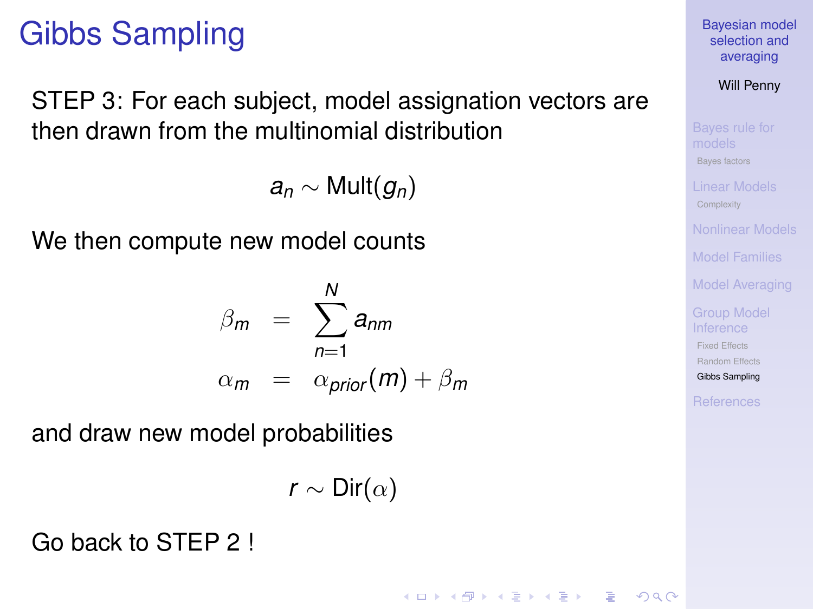STEP 3: For each subject, model assignation vectors are then drawn from the multinomial distribution

 $a_n$  ∼ Mult $(g_n)$ 

We then compute new model counts

$$
\beta_m = \sum_{n=1}^{N} a_{nm}
$$
  
\n
$$
\alpha_m = \alpha_{prior}(m) + \beta_m
$$

and draw new model probabilities

$$
\mathsf{r}\sim \mathsf{Dir}(\alpha)
$$

**KORK ERKERY EL ARA** 

Go back to STEP 2 !

[Bayesian model](#page-0-0) selection and averaging

Will Penny

[Bayes factors](#page-5-0)

[Model Families](#page-18-0)

[Model Averaging](#page-22-0)

[Fixed Effects](#page-25-0)

[Random Effects](#page-26-0)

[Gibbs Sampling](#page-32-0)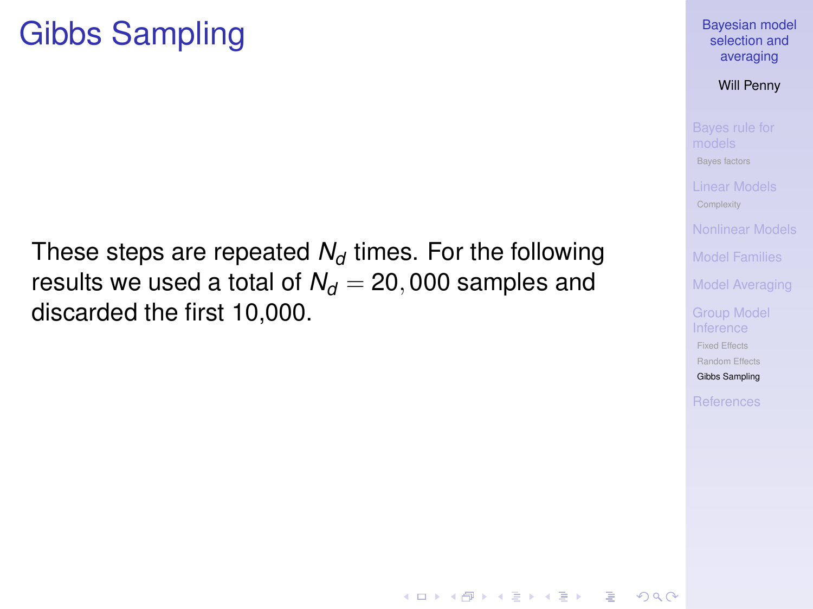These steps are repeated  $N_d$  times. For the following results we used a total of  $N_d = 20,000$  samples and discarded the first 10,000.

Will Penny

[Bayes factors](#page-5-0)

[Model Families](#page-18-0)

[Model Averaging](#page-22-0)

[Fixed Effects](#page-25-0)

[Random Effects](#page-26-0)

[Gibbs Sampling](#page-32-0)

**KORK ERKERY EL ARA**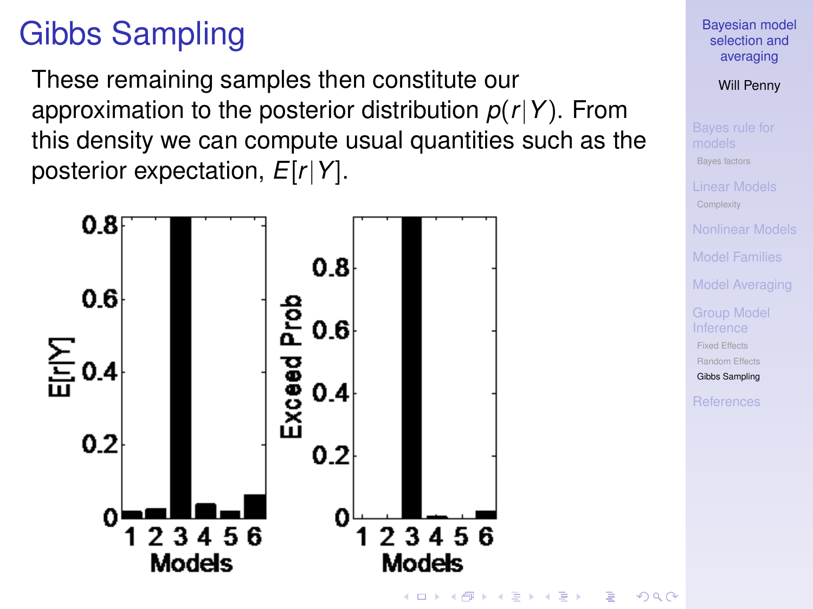These remaining samples then constitute our approximation to the posterior distribution *p*(*r*|*Y*). From this density we can compute usual quantities such as the posterior expectation, *E*[*r*|*Y*].

<span id="page-35-0"></span>

[Bayesian model](#page-0-0) selection and averaging

Will Penny

[Bayes factors](#page-5-0)

[Model Families](#page-18-0)

[Model Averaging](#page-22-0)

[Fixed Effects](#page-25-0)

[Random Effects](#page-26-0)

[Gibbs Sampling](#page-32-0)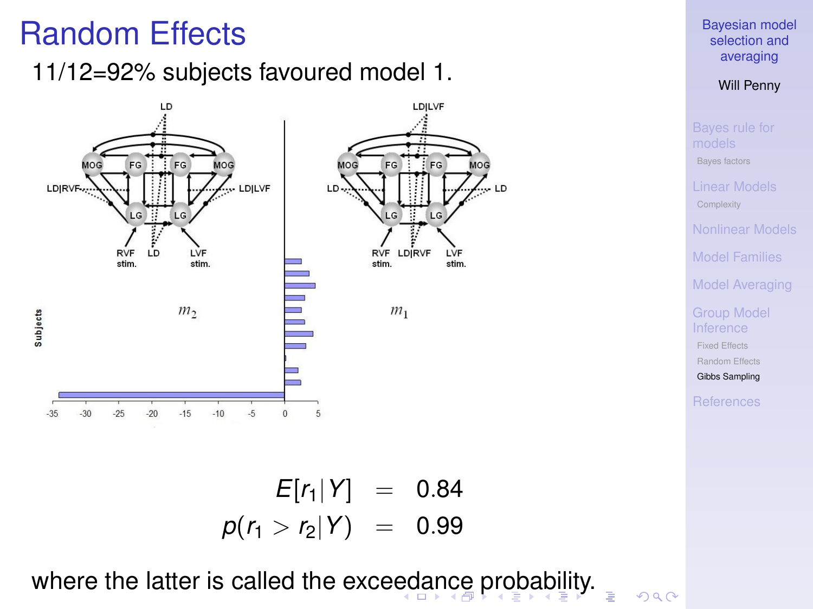# Random Effects

11/12=92% subjects favoured model 1.



[Bayesian model](#page-0-0) selection and averaging

Will Penny

[Bayes factors](#page-5-0) [Model Families](#page-18-0) [Model Averaging](#page-22-0) [Fixed Effects](#page-25-0) [Random Effects](#page-26-0) [Gibbs Sampling](#page-32-0)

 $E[r_1|Y] = 0.84$  $p(r_1 > r_2|Y) = 0.99$ 

<span id="page-36-0"></span>where the latter is called the exce[ed](#page-35-0)[an](#page-37-0)[c](#page-35-0)[e](#page-36-0) [p](#page-37-0)[r](#page-31-0)[o](#page-32-0)[b](#page-37-0)[a](#page-38-0)[b](#page-24-0)[i](#page-25-0)[li](#page-37-0)[t](#page-38-0)[y.](#page-0-0)

 $2990$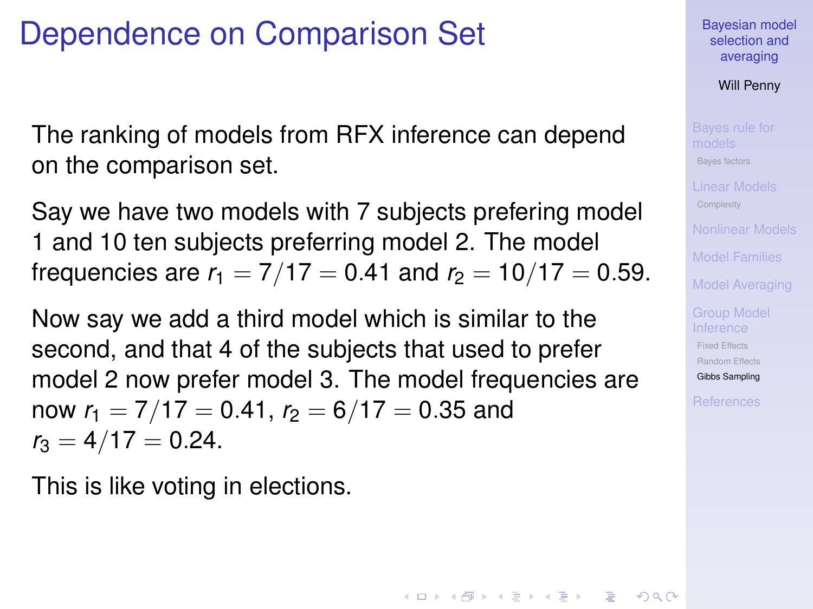# Dependence on Comparison Set

The ranking of models from RFX inference can depend on the comparison set.

Say we have two models with 7 subjects prefering model 1 and 10 ten subjects preferring model 2. The model frequencies are  $r_1 = 7/17 = 0.41$  and  $r_2 = 10/17 = 0.59$ .

Now say we add a third model which is similar to the second, and that 4 of the subjects that used to prefer model 2 now prefer model 3. The model frequencies are now  $r_1 = 7/17 = 0.41$ ,  $r_2 = 6/17 = 0.35$  and  $r_3 = 4/17 = 0.24$ .

<span id="page-37-0"></span>This is like voting in elections.

[Bayesian model](#page-0-0) selection and averaging

Will Penny

[Bayes factors](#page-5-0)

[Model Families](#page-18-0)

[Fixed Effects](#page-25-0) [Random Effects](#page-26-0)

[Gibbs Sampling](#page-32-0)